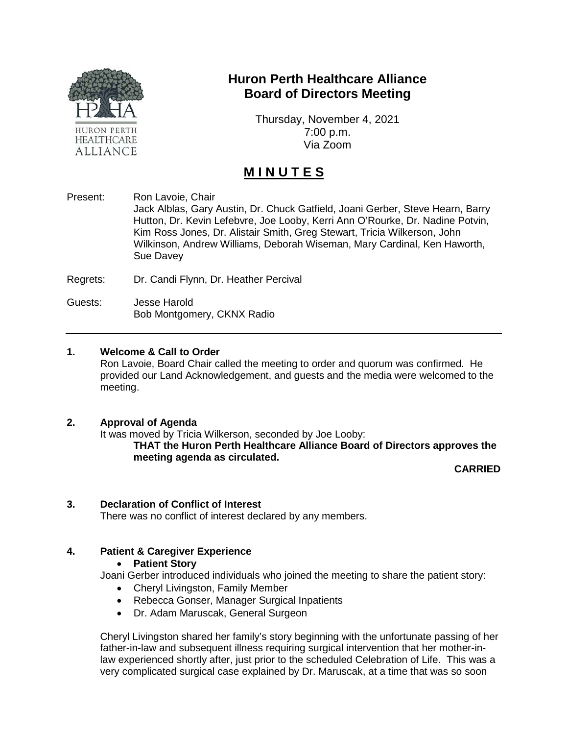

# **Huron Perth Healthcare Alliance Board of Directors Meeting**

Thursday, November 4, 2021 7:00 p.m. Via Zoom

# **M I N U T E S**

Present: Ron Lavoie, Chair Jack Alblas, Gary Austin, Dr. Chuck Gatfield, Joani Gerber, Steve Hearn, Barry Hutton, Dr. Kevin Lefebvre, Joe Looby, Kerri Ann O'Rourke, Dr. Nadine Potvin, Kim Ross Jones, Dr. Alistair Smith, Greg Stewart, Tricia Wilkerson, John Wilkinson, Andrew Williams, Deborah Wiseman, Mary Cardinal, Ken Haworth, Sue Davey

Regrets: Dr. Candi Flynn, Dr. Heather Percival

Guests: Jesse Harold Bob Montgomery, CKNX Radio

## **1. Welcome & Call to Order**

Ron Lavoie, Board Chair called the meeting to order and quorum was confirmed. He provided our Land Acknowledgement, and guests and the media were welcomed to the meeting.

## **2. Approval of Agenda**

It was moved by Tricia Wilkerson, seconded by Joe Looby:

**THAT the Huron Perth Healthcare Alliance Board of Directors approves the meeting agenda as circulated.**

**CARRIED**

## **3. Declaration of Conflict of Interest**

There was no conflict of interest declared by any members.

## **4. Patient & Caregiver Experience**

#### • **Patient Story**

Joani Gerber introduced individuals who joined the meeting to share the patient story:

- Cheryl Livingston, Family Member
- Rebecca Gonser, Manager Surgical Inpatients
- Dr. Adam Maruscak, General Surgeon

Cheryl Livingston shared her family's story beginning with the unfortunate passing of her father-in-law and subsequent illness requiring surgical intervention that her mother-inlaw experienced shortly after, just prior to the scheduled Celebration of Life. This was a very complicated surgical case explained by Dr. Maruscak, at a time that was so soon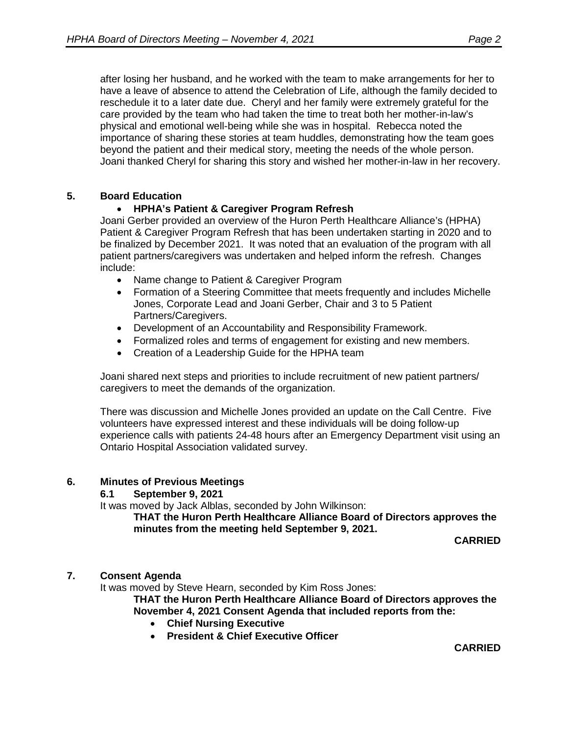after losing her husband, and he worked with the team to make arrangements for her to have a leave of absence to attend the Celebration of Life, although the family decided to reschedule it to a later date due. Cheryl and her family were extremely grateful for the care provided by the team who had taken the time to treat both her mother-in-law's physical and emotional well-being while she was in hospital. Rebecca noted the importance of sharing these stories at team huddles, demonstrating how the team goes beyond the patient and their medical story, meeting the needs of the whole person. Joani thanked Cheryl for sharing this story and wished her mother-in-law in her recovery.

# **5. Board Education**

# • **HPHA's Patient & Caregiver Program Refresh**

Joani Gerber provided an overview of the Huron Perth Healthcare Alliance's (HPHA) Patient & Caregiver Program Refresh that has been undertaken starting in 2020 and to be finalized by December 2021. It was noted that an evaluation of the program with all patient partners/caregivers was undertaken and helped inform the refresh. Changes include:

- Name change to Patient & Caregiver Program
- Formation of a Steering Committee that meets frequently and includes Michelle Jones, Corporate Lead and Joani Gerber, Chair and 3 to 5 Patient Partners/Caregivers.
- Development of an Accountability and Responsibility Framework.
- Formalized roles and terms of engagement for existing and new members.
- Creation of a Leadership Guide for the HPHA team

Joani shared next steps and priorities to include recruitment of new patient partners/ caregivers to meet the demands of the organization.

There was discussion and Michelle Jones provided an update on the Call Centre. Five volunteers have expressed interest and these individuals will be doing follow-up experience calls with patients 24-48 hours after an Emergency Department visit using an Ontario Hospital Association validated survey.

## **6. Minutes of Previous Meetings**

## **6.1 September 9, 2021**

It was moved by Jack Alblas, seconded by John Wilkinson:

**THAT the Huron Perth Healthcare Alliance Board of Directors approves the minutes from the meeting held September 9, 2021.**

**CARRIED**

## **7. Consent Agenda**

It was moved by Steve Hearn, seconded by Kim Ross Jones:

**THAT the Huron Perth Healthcare Alliance Board of Directors approves the November 4, 2021 Consent Agenda that included reports from the:**

- **Chief Nursing Executive**
- **President & Chief Executive Officer**

**CARRIED**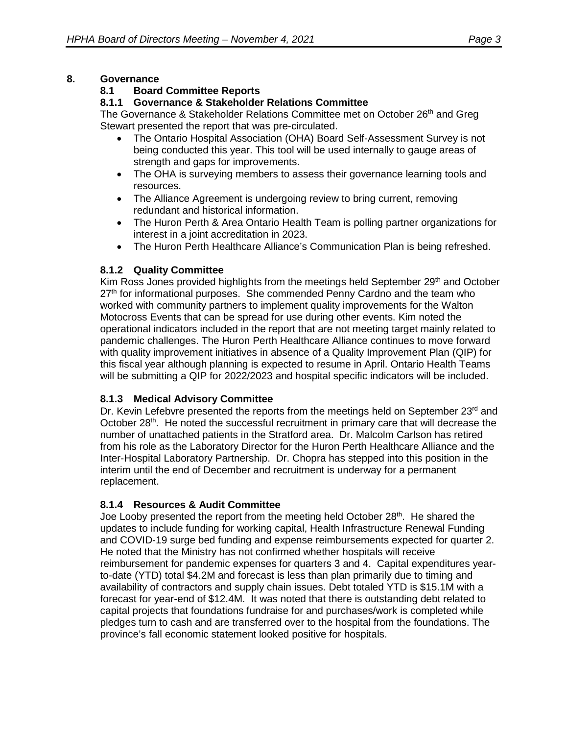# **8. Governance**

# **8.1 Board Committee Reports**

# **8.1.1 Governance & Stakeholder Relations Committee**

The Governance & Stakeholder Relations Committee met on October 26<sup>th</sup> and Greg Stewart presented the report that was pre-circulated.

- The Ontario Hospital Association (OHA) Board Self-Assessment Survey is not being conducted this year. This tool will be used internally to gauge areas of strength and gaps for improvements.
- The OHA is surveying members to assess their governance learning tools and resources.
- The Alliance Agreement is undergoing review to bring current, removing redundant and historical information.
- The Huron Perth & Area Ontario Health Team is polling partner organizations for interest in a joint accreditation in 2023.
- The Huron Perth Healthcare Alliance's Communication Plan is being refreshed.

# **8.1.2 Quality Committee**

Kim Ross Jones provided highlights from the meetings held September  $29<sup>th</sup>$  and October 27<sup>th</sup> for informational purposes. She commended Penny Cardno and the team who worked with community partners to implement quality improvements for the Walton Motocross Events that can be spread for use during other events. Kim noted the operational indicators included in the report that are not meeting target mainly related to pandemic challenges. The Huron Perth Healthcare Alliance continues to move forward with quality improvement initiatives in absence of a Quality Improvement Plan (QIP) for this fiscal year although planning is expected to resume in April. Ontario Health Teams will be submitting a QIP for 2022/2023 and hospital specific indicators will be included.

# **8.1.3 Medical Advisory Committee**

Dr. Kevin Lefebvre presented the reports from the meetings held on September  $23<sup>rd</sup>$  and October  $28<sup>th</sup>$ . He noted the successful recruitment in primary care that will decrease the number of unattached patients in the Stratford area. Dr. Malcolm Carlson has retired from his role as the Laboratory Director for the Huron Perth Healthcare Alliance and the Inter-Hospital Laboratory Partnership. Dr. Chopra has stepped into this position in the interim until the end of December and recruitment is underway for a permanent replacement.

# **8.1.4 Resources & Audit Committee**

Joe Looby presented the report from the meeting held October  $28<sup>th</sup>$ . He shared the updates to include funding for working capital, Health Infrastructure Renewal Funding and COVID-19 surge bed funding and expense reimbursements expected for quarter 2. He noted that the Ministry has not confirmed whether hospitals will receive reimbursement for pandemic expenses for quarters 3 and 4. Capital expenditures yearto-date (YTD) total \$4.2M and forecast is less than plan primarily due to timing and availability of contractors and supply chain issues. Debt totaled YTD is \$15.1M with a forecast for year-end of \$12.4M. It was noted that there is outstanding debt related to capital projects that foundations fundraise for and purchases/work is completed while pledges turn to cash and are transferred over to the hospital from the foundations. The province's fall economic statement looked positive for hospitals.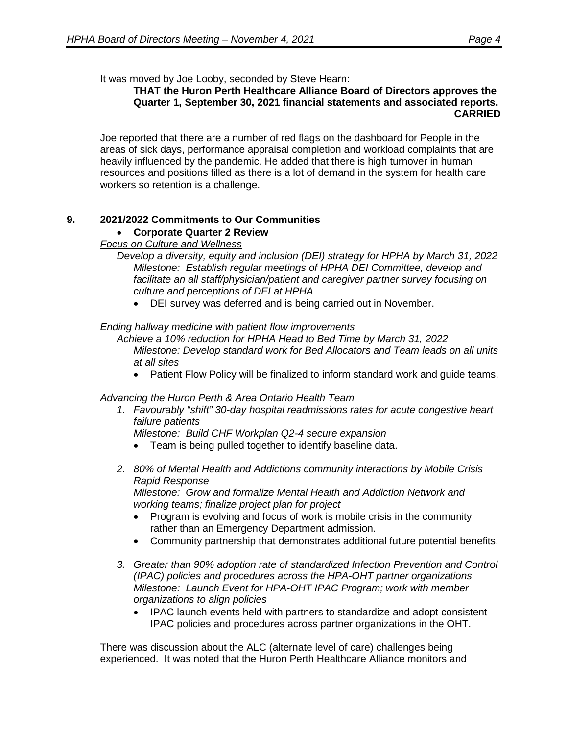It was moved by Joe Looby, seconded by Steve Hearn:

#### **THAT the Huron Perth Healthcare Alliance Board of Directors approves the Quarter 1, September 30, 2021 financial statements and associated reports. CARRIED**

Joe reported that there are a number of red flags on the dashboard for People in the areas of sick days, performance appraisal completion and workload complaints that are heavily influenced by the pandemic. He added that there is high turnover in human resources and positions filled as there is a lot of demand in the system for health care workers so retention is a challenge.

# **9. 2021/2022 Commitments to Our Communities**

# • **Corporate Quarter 2 Review**

## *Focus on Culture and Wellness*

*Develop a diversity, equity and inclusion (DEI) strategy for HPHA by March 31, 2022 Milestone: Establish regular meetings of HPHA DEI Committee, develop and facilitate an all staff/physician/patient and caregiver partner survey focusing on culture and perceptions of DEI at HPHA*

DEI survey was deferred and is being carried out in November.

#### *Ending hallway medicine with patient flow improvements*

*Achieve a 10% reduction for HPHA Head to Bed Time by March 31, 2022 Milestone: Develop standard work for Bed Allocators and Team leads on all units at all sites*

• Patient Flow Policy will be finalized to inform standard work and quide teams.

## *Advancing the Huron Perth & Area Ontario Health Team*

*1. Favourably "shift" 30-day hospital readmissions rates for acute congestive heart failure patients*

*Milestone: Build CHF Workplan Q2-4 secure expansion*

- Team is being pulled together to identify baseline data.
- *2. 80% of Mental Health and Addictions community interactions by Mobile Crisis Rapid Response*

*Milestone: Grow and formalize Mental Health and Addiction Network and working teams; finalize project plan for project* 

- Program is evolving and focus of work is mobile crisis in the community rather than an Emergency Department admission.
- Community partnership that demonstrates additional future potential benefits.
- *3. Greater than 90% adoption rate of standardized Infection Prevention and Control (IPAC) policies and procedures across the HPA-OHT partner organizations Milestone: Launch Event for HPA-OHT IPAC Program; work with member organizations to align policies*
	- IPAC launch events held with partners to standardize and adopt consistent IPAC policies and procedures across partner organizations in the OHT.

There was discussion about the ALC (alternate level of care) challenges being experienced. It was noted that the Huron Perth Healthcare Alliance monitors and